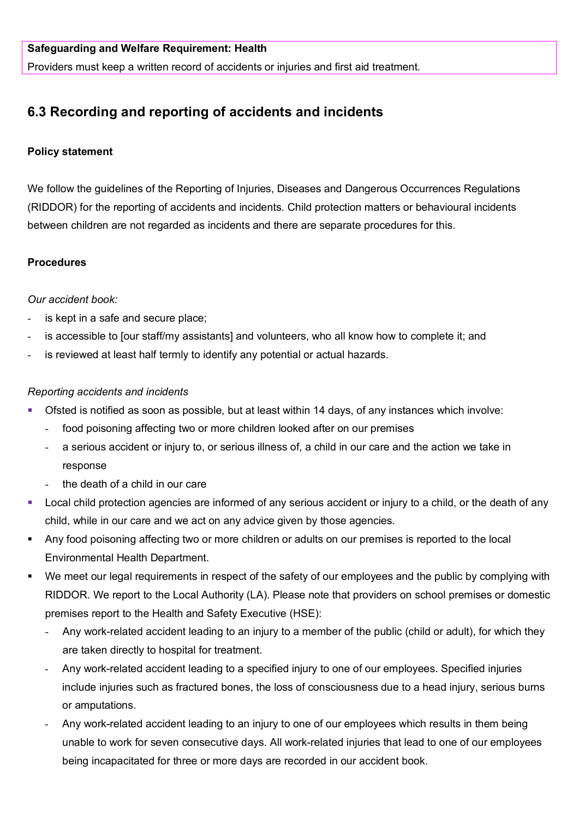Providers must keep a written record of accidents or injuries and first aid treatment.

# **6.3 Recording and reporting of accidents and incidents**

## **Policy statement**

We follow the guidelines of the Reporting of Injuries, Diseases and Dangerous Occurrences Regulations (RIDDOR) for the reporting of accidents and incidents. Child protection matters or behavioural incidents between children are not regarded as incidents and there are separate procedures for this.

## **Procedures**

## *Our accident book:*

- is kept in a safe and secure place;
- is accessible to [our staff/my assistants] and volunteers, who all know how to complete it; and
- is reviewed at least half termly to identify any potential or actual hazards.

#### *Reporting accidents and incidents*

- Ofsted is notified as soon as possible, but at least within 14 days, of any instances which involve:
	- food poisoning affecting two or more children looked after on our premises
	- a serious accident or injury to, or serious illness of, a child in our care and the action we take in response
	- the death of a child in our care
- **Local child protection agencies are informed of any serious accident or injury to a child, or the death of any** child, while in our care and we act on any advice given by those agencies.
- Any food poisoning affecting two or more children or adults on our premises is reported to the local Environmental Health Department.
- We meet our legal requirements in respect of the safety of our employees and the public by complying with RIDDOR. We report to the Local Authority (LA). Please note that providers on school premises or domestic premises report to the Health and Safety Executive (HSE):
	- Any work-related accident leading to an injury to a member of the public (child or adult), for which they are taken directly to hospital for treatment.
	- Any work-related accident leading to a specified injury to one of our employees. Specified injuries include injuries such as fractured bones, the loss of consciousness due to a head injury, serious burns or amputations.
	- Any work-related accident leading to an injury to one of our employees which results in them being unable to work for seven consecutive days. All work-related injuries that lead to one of our employees being incapacitated for three or more days are recorded in our accident book.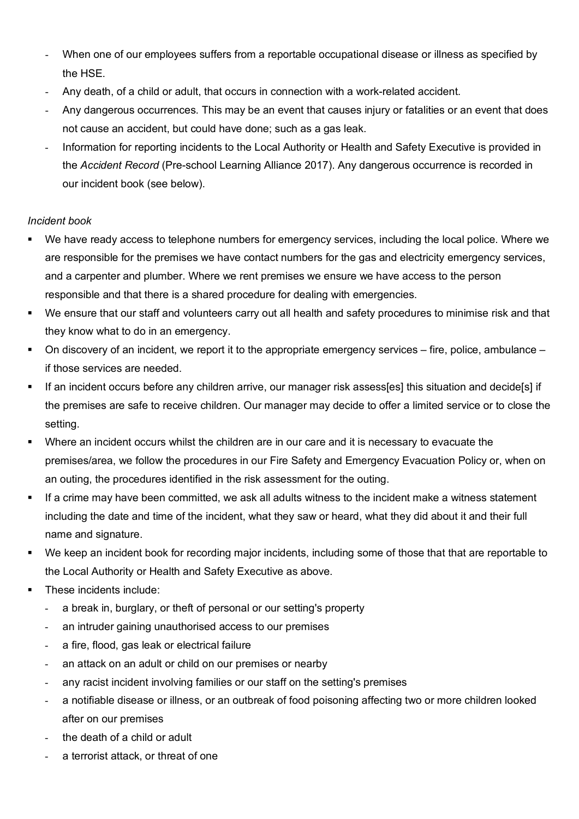- When one of our employees suffers from a reportable occupational disease or illness as specified by the HSE.
- Any death, of a child or adult, that occurs in connection with a work-related accident.
- Any dangerous occurrences. This may be an event that causes injury or fatalities or an event that does not cause an accident, but could have done; such as a gas leak.
- Information for reporting incidents to the Local Authority or Health and Safety Executive is provided in the *Accident Record* (Pre-school Learning Alliance 2017). Any dangerous occurrence is recorded in our incident book (see below).

## *Incident book*

- We have ready access to telephone numbers for emergency services, including the local police. Where we are responsible for the premises we have contact numbers for the gas and electricity emergency services, and a carpenter and plumber. Where we rent premises we ensure we have access to the person responsible and that there is a shared procedure for dealing with emergencies.
- We ensure that our staff and volunteers carry out all health and safety procedures to minimise risk and that they know what to do in an emergency.
- On discovery of an incident, we report it to the appropriate emergency services fire, police, ambulance if those services are needed.
- If an incident occurs before any children arrive, our manager risk assess[es] this situation and decide[s] if the premises are safe to receive children. Our manager may decide to offer a limited service or to close the setting.
- Where an incident occurs whilst the children are in our care and it is necessary to evacuate the premises/area, we follow the procedures in our Fire Safety and Emergency Evacuation Policy or, when on an outing, the procedures identified in the risk assessment for the outing.
- If a crime may have been committed, we ask all adults witness to the incident make a witness statement including the date and time of the incident, what they saw or heard, what they did about it and their full name and signature.
- We keep an incident book for recording major incidents, including some of those that that are reportable to the Local Authority or Health and Safety Executive as above.
- These incidents include:
	- a break in, burglary, or theft of personal or our setting's property
	- an intruder gaining unauthorised access to our premises
	- a fire, flood, gas leak or electrical failure
	- an attack on an adult or child on our premises or nearby
	- any racist incident involving families or our staff on the setting's premises
	- a notifiable disease or illness, or an outbreak of food poisoning affecting two or more children looked after on our premises
	- the death of a child or adult
	- a terrorist attack, or threat of one